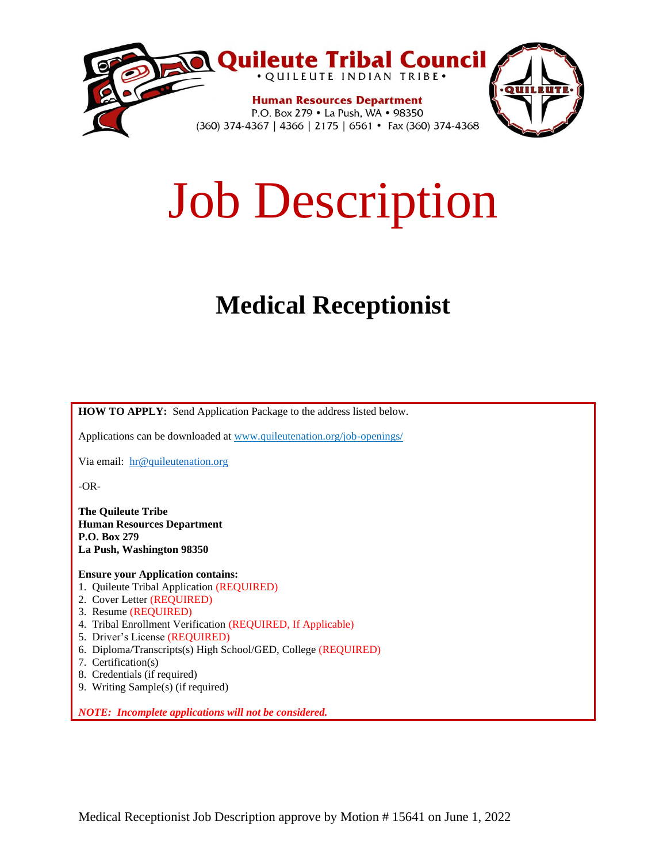

# Job Description

# **Medical Receptionist**

**HOW TO APPLY:** Send Application Package to the address listed below.

Applications can be downloaded at www.quileutenation.org/job-openings/

Via email: [hr@quileutenation.org](mailto:hr@quileutenation.org)

-OR-

**The Quileute Tribe Human Resources Department P.O. Box 279 La Push, Washington 98350**

**Ensure your Application contains:**

- 1. Quileute Tribal Application (REQUIRED)
- 2. Cover Letter (REQUIRED)
- 3. Resume (REQUIRED)
- 4. Tribal Enrollment Verification (REQUIRED, If Applicable)
- 5. Driver's License (REQUIRED)
- 6. Diploma/Transcripts(s) High School/GED, College (REQUIRED)
- 7. Certification(s)
- 8. Credentials (if required)
- 9. Writing Sample(s) (if required)

*NOTE: Incomplete applications will not be considered.*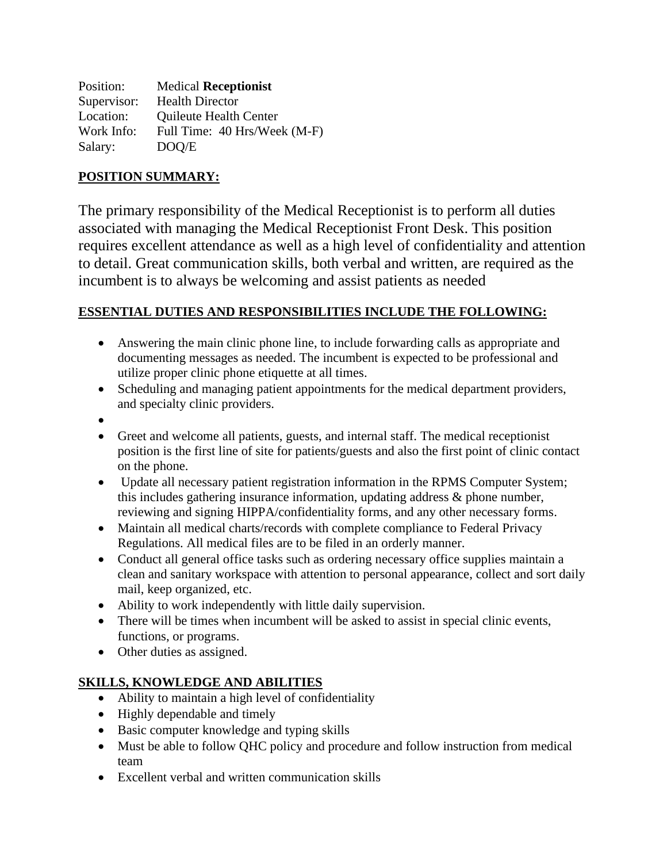Position: Medical **Receptionist** Supervisor: Health Director Location: Ouileute Health Center Work Info: Full Time: 40 Hrs/Week (M-F) Salary: DOQ/E

#### **POSITION SUMMARY:**

The primary responsibility of the Medical Receptionist is to perform all duties associated with managing the Medical Receptionist Front Desk. This position requires excellent attendance as well as a high level of confidentiality and attention to detail. Great communication skills, both verbal and written, are required as the incumbent is to always be welcoming and assist patients as needed

#### **ESSENTIAL DUTIES AND RESPONSIBILITIES INCLUDE THE FOLLOWING:**

- Answering the main clinic phone line, to include forwarding calls as appropriate and documenting messages as needed. The incumbent is expected to be professional and utilize proper clinic phone etiquette at all times.
- Scheduling and managing patient appointments for the medical department providers, and specialty clinic providers.
- •
- Greet and welcome all patients, guests, and internal staff. The medical receptionist position is the first line of site for patients/guests and also the first point of clinic contact on the phone.
- Update all necessary patient registration information in the RPMS Computer System; this includes gathering insurance information, updating address & phone number, reviewing and signing HIPPA/confidentiality forms, and any other necessary forms.
- Maintain all medical charts/records with complete compliance to Federal Privacy Regulations. All medical files are to be filed in an orderly manner.
- Conduct all general office tasks such as ordering necessary office supplies maintain a clean and sanitary workspace with attention to personal appearance, collect and sort daily mail, keep organized, etc.
- Ability to work independently with little daily supervision.
- There will be times when incumbent will be asked to assist in special clinic events, functions, or programs.
- Other duties as assigned.

#### **SKILLS, KNOWLEDGE AND ABILITIES**

- Ability to maintain a high level of confidentiality
- Highly dependable and timely
- Basic computer knowledge and typing skills
- Must be able to follow QHC policy and procedure and follow instruction from medical team
- Excellent verbal and written communication skills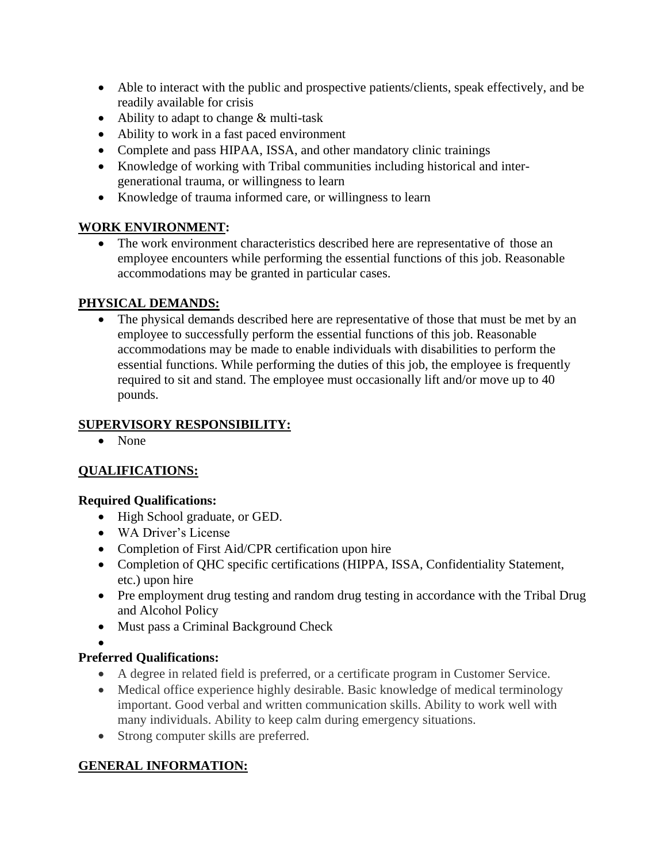- Able to interact with the public and prospective patients/clients, speak effectively, and be readily available for crisis
- Ability to adapt to change & multi-task
- Ability to work in a fast paced environment
- Complete and pass HIPAA, ISSA, and other mandatory clinic trainings
- Knowledge of working with Tribal communities including historical and intergenerational trauma, or willingness to learn
- Knowledge of trauma informed care, or willingness to learn

# **WORK ENVIRONMENT:**

• The work environment characteristics described here are representative of those an employee encounters while performing the essential functions of this job. Reasonable accommodations may be granted in particular cases.

#### **PHYSICAL DEMANDS:**

• The physical demands described here are representative of those that must be met by an employee to successfully perform the essential functions of this job. Reasonable accommodations may be made to enable individuals with disabilities to perform the essential functions. While performing the duties of this job, the employee is frequently required to sit and stand. The employee must occasionally lift and/or move up to 40 pounds.

#### **SUPERVISORY RESPONSIBILITY:**

• None

# **QUALIFICATIONS:**

#### **Required Qualifications:**

- High School graduate, or GED.
- WA Driver's License
- Completion of First Aid/CPR certification upon hire
- Completion of OHC specific certifications (HIPPA, ISSA, Confidentiality Statement, etc.) upon hire
- Pre employment drug testing and random drug testing in accordance with the Tribal Drug and Alcohol Policy
- Must pass a Criminal Background Check
- •

# **Preferred Qualifications:**

- A degree in related field is preferred, or a certificate program in Customer Service.
- Medical office experience highly desirable. Basic knowledge of medical terminology important. Good verbal and written communication skills. Ability to work well with many individuals. Ability to keep calm during emergency situations.
- Strong computer skills are preferred.

# **GENERAL INFORMATION:**